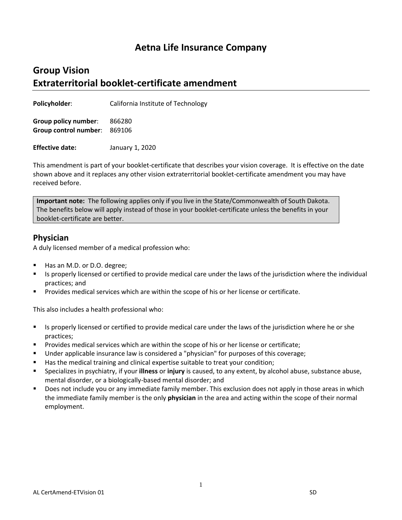## **Aetna Life Insurance Company**

## **Group Vision Extraterritorial booklet-certificate amendment**

**Policyholder:** California Institute of Technology

**Group policy number**: 866280 **Group control number**: 869106

**Effective date:** January 1, 2020

This amendment is part of your booklet-certificate that describes your vision coverage. It is effective on the date shown above and it replaces any other vision extraterritorial booklet-certificate amendment you may have received before.

**Important note:** The following applies only if you live in the State/Commonwealth of South Dakota. The benefits below will apply instead of those in your booklet-certificate unless the benefits in your booklet-certificate are better.

## **Physician**

A duly licensed member of a medical profession who:

- Has an M.D. or D.O. degree;
- Is properly licensed or certified to provide medical care under the laws of the jurisdiction where the individual practices; and
- Provides medical services which are within the scope of his or her license or certificate.

This also includes a health professional who:

- Is properly licensed or certified to provide medical care under the laws of the jurisdiction where he or she practices;
- **Provides medical services which are within the scope of his or her license or certificate;**
- Under applicable insurance law is considered a "physician" for purposes of this coverage;
- Has the medical training and clinical expertise suitable to treat your condition;
- Specializes in psychiatry, if your **illness** or **injury** is caused, to any extent, by alcohol abuse, substance abuse, mental disorder, or a biologically-based mental disorder; and
- Does not include you or any immediate family member. This exclusion does not apply in those areas in which the immediate family member is the only **physician** in the area and acting within the scope of their normal employment.